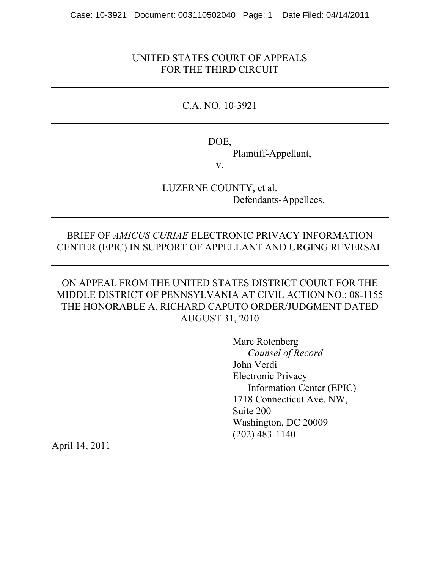## UNITED STATES COURT OF APPEALS FOR THE THIRD CIRCUIT

## C.A. NO. 10-3921

DOE,

Plaintiff-Appellant,

v.

LUZERNE COUNTY, et al. Defendants-Appellees.

## BRIEF OF *AMICUS CURIAE* ELECTRONIC PRIVACY INFORMATION CENTER (EPIC) IN SUPPORT OF APPELLANT AND URGING REVERSAL

## ON APPEAL FROM THE UNITED STATES DISTRICT COURT FOR THE MIDDLE DISTRICT OF PENNSYLVANIA AT CIVIL ACTION NO.: 08-1155 THE HONORABLE A. RICHARD CAPUTO ORDER/JUDGMENT DATED AUGUST 31, 2010

Marc Rotenberg *Counsel of Record* John Verdi Electronic Privacy Information Center (EPIC) 1718 Connecticut Ave. NW, Suite 200 Washington, DC 20009 (202) 483-1140

April 14, 2011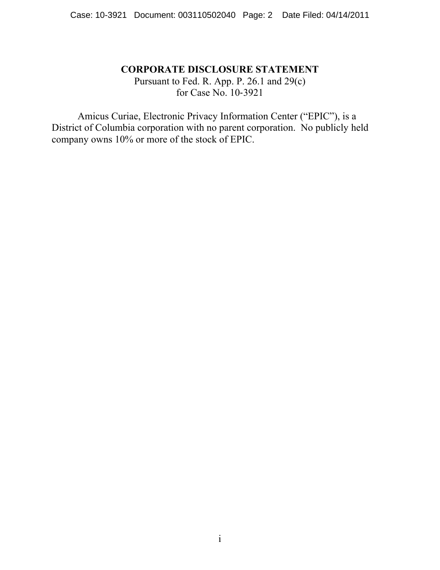### **CORPORATE DISCLOSURE STATEMENT**

Pursuant to Fed. R. App. P. 26.1 and 29(c) for Case No. 10-3921

Amicus Curiae, Electronic Privacy Information Center ("EPIC"), is a District of Columbia corporation with no parent corporation. No publicly held company owns 10% or more of the stock of EPIC.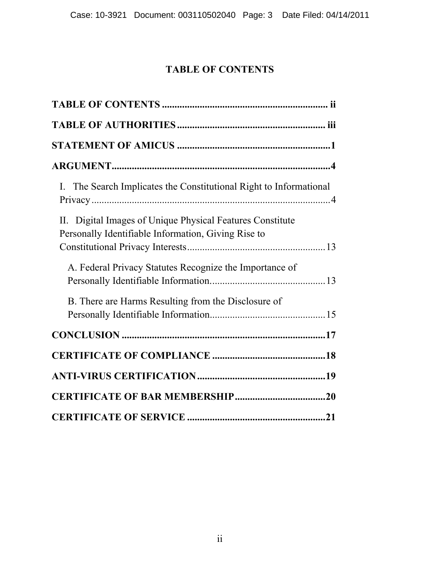# **TABLE OF CONTENTS**

| I. The Search Implicates the Constitutional Right to Informational |
|--------------------------------------------------------------------|
| II. Digital Images of Unique Physical Features Constitute          |
| Personally Identifiable Information, Giving Rise to                |
| A. Federal Privacy Statutes Recognize the Importance of            |
| B. There are Harms Resulting from the Disclosure of                |
|                                                                    |
|                                                                    |
|                                                                    |
|                                                                    |
|                                                                    |
|                                                                    |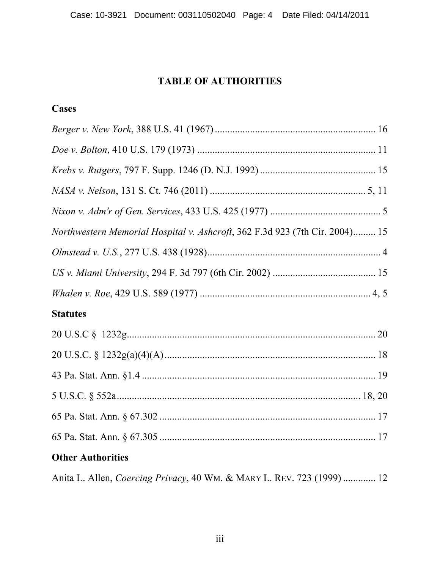# **TABLE OF AUTHORITIES**

# **Cases**

| Northwestern Memorial Hospital v. Ashcroft, 362 F.3d 923 (7th Cir. 2004) 15    |  |
|--------------------------------------------------------------------------------|--|
|                                                                                |  |
|                                                                                |  |
|                                                                                |  |
| <b>Statutes</b>                                                                |  |
|                                                                                |  |
|                                                                                |  |
|                                                                                |  |
|                                                                                |  |
|                                                                                |  |
|                                                                                |  |
| <b>Other Authorities</b>                                                       |  |
| Anita L. Allen, <i>Coercing Privacy</i> , 40 WM. & MARY L. REV. 723 (1999)  12 |  |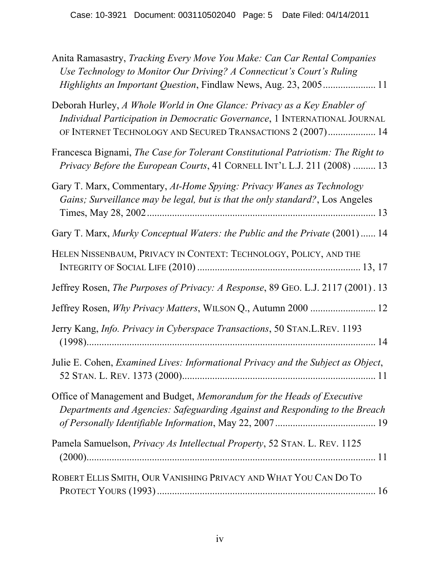| Anita Ramasastry, Tracking Every Move You Make: Can Car Rental Companies<br>Use Technology to Monitor Our Driving? A Connecticut's Court's Ruling<br>Highlights an Important Question, Findlaw News, Aug. 23, 2005 11 |
|-----------------------------------------------------------------------------------------------------------------------------------------------------------------------------------------------------------------------|
| Deborah Hurley, A Whole World in One Glance: Privacy as a Key Enabler of<br>Individual Participation in Democratic Governance, 1 INTERNATIONAL JOURNAL<br>OF INTERNET TECHNOLOGY AND SECURED TRANSACTIONS 2 (2007) 14 |
| Francesca Bignami, The Case for Tolerant Constitutional Patriotism: The Right to<br>Privacy Before the European Courts, 41 CORNELL INT'L L.J. 211 (2008)  13                                                          |
| Gary T. Marx, Commentary, At-Home Spying: Privacy Wanes as Technology<br>Gains; Surveillance may be legal, but is that the only standard?, Los Angeles                                                                |
| Gary T. Marx, Murky Conceptual Waters: the Public and the Private (2001)  14                                                                                                                                          |
| HELEN NISSENBAUM, PRIVACY IN CONTEXT: TECHNOLOGY, POLICY, AND THE                                                                                                                                                     |
| Jeffrey Rosen, The Purposes of Privacy: A Response, 89 GEO. L.J. 2117 (2001). 13                                                                                                                                      |
| Jeffrey Rosen, <i>Why Privacy Matters</i> , WILSON Q., Autumn 2000  12                                                                                                                                                |
| Jerry Kang, Info. Privacy in Cyberspace Transactions, 50 STAN.L.REV. 1193                                                                                                                                             |
| Julie E. Cohen, Examined Lives: Informational Privacy and the Subject as Object,                                                                                                                                      |
| Office of Management and Budget, Memorandum for the Heads of Executive<br>Departments and Agencies: Safeguarding Against and Responding to the Breach                                                                 |
| Pamela Samuelson, Privacy As Intellectual Property, 52 STAN. L. REV. 1125                                                                                                                                             |
| ROBERT ELLIS SMITH, OUR VANISHING PRIVACY AND WHAT YOU CAN DO TO                                                                                                                                                      |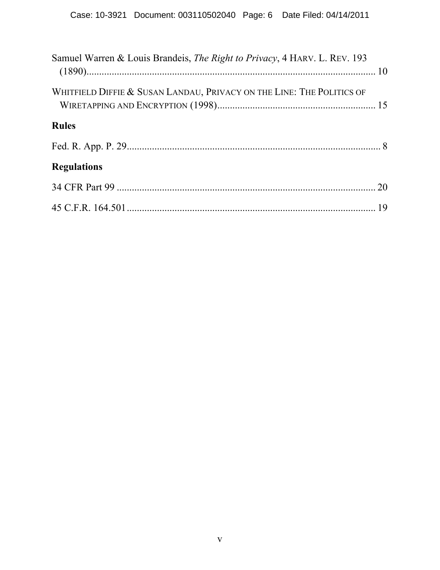| Samuel Warren & Louis Brandeis, The Right to Privacy, 4 HARV. L. REV. 193 |  |
|---------------------------------------------------------------------------|--|
| WHITFIELD DIFFIE & SUSAN LANDAU, PRIVACY ON THE LINE: THE POLITICS OF     |  |
| <b>Rules</b>                                                              |  |
|                                                                           |  |
| <b>Regulations</b>                                                        |  |
|                                                                           |  |
|                                                                           |  |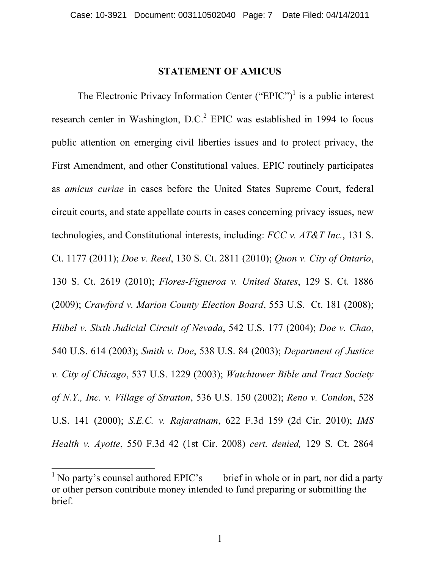#### **STATEMENT OF AMICUS**

The Electronic Privacy Information Center ("EPIC")<sup>1</sup> is a public interest research center in Washington,  $D.C.<sup>2</sup>$  EPIC was established in 1994 to focus public attention on emerging civil liberties issues and to protect privacy, the First Amendment, and other Constitutional values. EPIC routinely participates as *amicus curiae* in cases before the United States Supreme Court, federal circuit courts, and state appellate courts in cases concerning privacy issues, new technologies, and Constitutional interests, including: *FCC v. AT&T Inc.*, 131 S. Ct. 1177 (2011); *Doe v. Reed*, 130 S. Ct. 2811 (2010); *Quon v. City of Ontario*, 130 S. Ct. 2619 (2010); *Flores-Figueroa v. United States*, 129 S. Ct. 1886 (2009); *Crawford v. Marion County Election Board*, 553 U.S. Ct. 181 (2008); *Hiibel v. Sixth Judicial Circuit of Nevada*, 542 U.S. 177 (2004); *Doe v. Chao*, 540 U.S. 614 (2003); *Smith v. Doe*, 538 U.S. 84 (2003); *Department of Justice v. City of Chicago*, 537 U.S. 1229 (2003); *Watchtower Bible and Tract Society of N.Y., Inc. v. Village of Stratton*, 536 U.S. 150 (2002); *Reno v. Condon*, 528 U.S. 141 (2000); *S.E.C. v. Rajaratnam*, 622 F.3d 159 (2d Cir. 2010); *IMS Health v. Ayotte*, 550 F.3d 42 (1st Cir. 2008) *cert. denied,* 129 S. Ct. 2864

1

 $\frac{1}{1}$  No party's counsel authored EPIC's brief in whole or in part, nor did a party or other person contribute money intended to fund preparing or submitting the brief.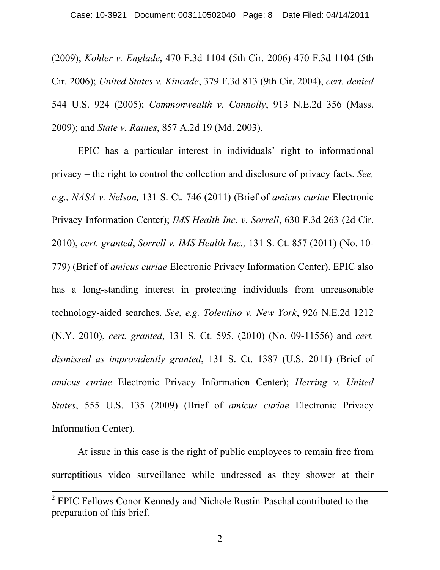(2009); *Kohler v. Englade*, 470 F.3d 1104 (5th Cir. 2006) 470 F.3d 1104 (5th Cir. 2006); *United States v. Kincade*, 379 F.3d 813 (9th Cir. 2004), *cert. denied* 544 U.S. 924 (2005); *Commonwealth v. Connolly*, 913 N.E.2d 356 (Mass. 2009); and *State v. Raines*, 857 A.2d 19 (Md. 2003).

EPIC has a particular interest in individuals' right to informational privacy – the right to control the collection and disclosure of privacy facts. *See, e.g., NASA v. Nelson,* 131 S. Ct. 746 (2011) (Brief of *amicus curiae* Electronic Privacy Information Center); *IMS Health Inc. v. Sorrell*, 630 F.3d 263 (2d Cir. 2010), *cert. granted*, *Sorrell v. IMS Health Inc.,* 131 S. Ct. 857 (2011) (No. 10- 779) (Brief of *amicus curiae* Electronic Privacy Information Center). EPIC also has a long-standing interest in protecting individuals from unreasonable technology-aided searches. *See, e.g. Tolentino v. New York*, 926 N.E.2d 1212 (N.Y. 2010), *cert. granted*, 131 S. Ct. 595, (2010) (No. 09-11556) and *cert. dismissed as improvidently granted*, 131 S. Ct. 1387 (U.S. 2011) (Brief of *amicus curiae* Electronic Privacy Information Center); *Herring v. United States*, 555 U.S. 135 (2009) (Brief of *amicus curiae* Electronic Privacy Information Center).

At issue in this case is the right of public employees to remain free from surreptitious video surveillance while undressed as they shower at their

<sup>&</sup>lt;sup>2</sup> EPIC Fellows Conor Kennedy and Nichole Rustin-Paschal contributed to the preparation of this brief.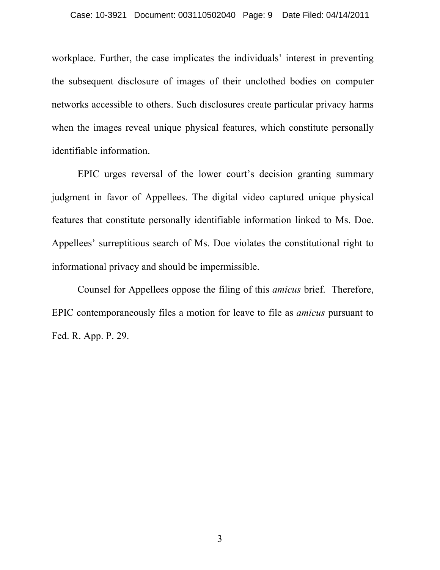workplace. Further, the case implicates the individuals' interest in preventing the subsequent disclosure of images of their unclothed bodies on computer networks accessible to others. Such disclosures create particular privacy harms when the images reveal unique physical features, which constitute personally identifiable information.

EPIC urges reversal of the lower court's decision granting summary judgment in favor of Appellees. The digital video captured unique physical features that constitute personally identifiable information linked to Ms. Doe. Appellees' surreptitious search of Ms. Doe violates the constitutional right to informational privacy and should be impermissible.

Counsel for Appellees oppose the filing of this *amicus* brief. Therefore, EPIC contemporaneously files a motion for leave to file as *amicus* pursuant to Fed. R. App. P. 29.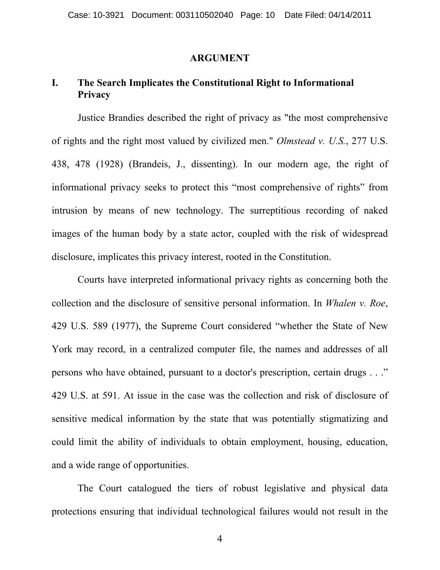#### **ARGUMENT**

# **I. The Search Implicates the Constitutional Right to Informational Privacy**

Justice Brandies described the right of privacy as "the most comprehensive of rights and the right most valued by civilized men." *Olmstead v. U.S.*, 277 U.S. 438, 478 (1928) (Brandeis, J., dissenting). In our modern age, the right of informational privacy seeks to protect this "most comprehensive of rights" from intrusion by means of new technology. The surreptitious recording of naked images of the human body by a state actor, coupled with the risk of widespread disclosure, implicates this privacy interest, rooted in the Constitution.

Courts have interpreted informational privacy rights as concerning both the collection and the disclosure of sensitive personal information. In *Whalen v. Roe*, 429 U.S. 589 (1977), the Supreme Court considered "whether the State of New York may record, in a centralized computer file, the names and addresses of all persons who have obtained, pursuant to a doctor's prescription, certain drugs . . ." 429 U.S. at 591. At issue in the case was the collection and risk of disclosure of sensitive medical information by the state that was potentially stigmatizing and could limit the ability of individuals to obtain employment, housing, education, and a wide range of opportunities.

The Court catalogued the tiers of robust legislative and physical data protections ensuring that individual technological failures would not result in the

4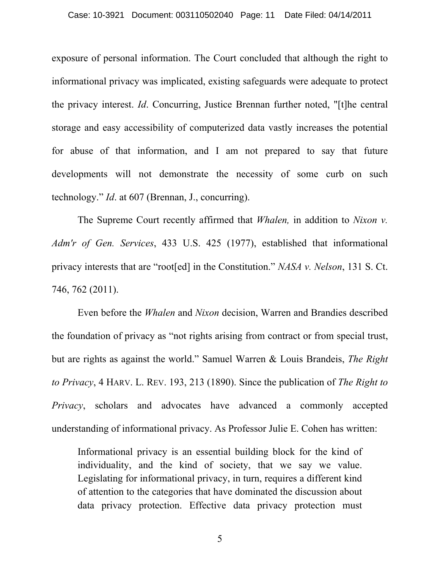exposure of personal information. The Court concluded that although the right to informational privacy was implicated, existing safeguards were adequate to protect the privacy interest. *Id*. Concurring, Justice Brennan further noted, "[t]he central storage and easy accessibility of computerized data vastly increases the potential for abuse of that information, and I am not prepared to say that future developments will not demonstrate the necessity of some curb on such technology." *Id*. at 607 (Brennan, J., concurring).

The Supreme Court recently affirmed that *Whalen,* in addition to *Nixon v. Adm'r of Gen. Services*, 433 U.S. 425 (1977), established that informational privacy interests that are "root[ed] in the Constitution." *NASA v. Nelson*, 131 S. Ct. 746, 762 (2011).

Even before the *Whalen* and *Nixon* decision, Warren and Brandies described the foundation of privacy as "not rights arising from contract or from special trust, but are rights as against the world." Samuel Warren & Louis Brandeis, *The Right to Privacy*, 4 HARV. L. REV. 193, 213 (1890). Since the publication of *The Right to Privacy*, scholars and advocates have advanced a commonly accepted understanding of informational privacy. As Professor Julie E. Cohen has written:

Informational privacy is an essential building block for the kind of individuality, and the kind of society, that we say we value. Legislating for informational privacy, in turn, requires a different kind of attention to the categories that have dominated the discussion about data privacy protection. Effective data privacy protection must

5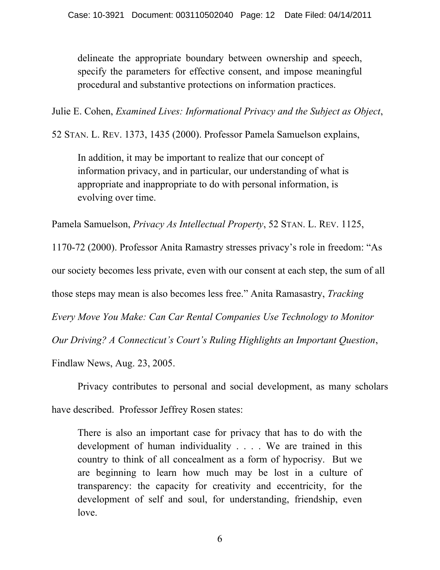delineate the appropriate boundary between ownership and speech, specify the parameters for effective consent, and impose meaningful procedural and substantive protections on information practices.

Julie E. Cohen, *Examined Lives: Informational Privacy and the Subject as Object*,

52 STAN. L. REV. 1373, 1435 (2000). Professor Pamela Samuelson explains,

In addition, it may be important to realize that our concept of information privacy, and in particular, our understanding of what is appropriate and inappropriate to do with personal information, is evolving over time.

Pamela Samuelson, *Privacy As Intellectual Property*, 52 STAN. L. REV. 1125,

1170-72 (2000). Professor Anita Ramastry stresses privacy's role in freedom: "As our society becomes less private, even with our consent at each step, the sum of all those steps may mean is also becomes less free." Anita Ramasastry, *Tracking Every Move You Make: Can Car Rental Companies Use Technology to Monitor Our Driving? A Connecticut's Court's Ruling Highlights an Important Question*,

Findlaw News, Aug. 23, 2005.

Privacy contributes to personal and social development, as many scholars

have described. Professor Jeffrey Rosen states:

There is also an important case for privacy that has to do with the development of human individuality . . . . We are trained in this country to think of all concealment as a form of hypocrisy. But we are beginning to learn how much may be lost in a culture of transparency: the capacity for creativity and eccentricity, for the development of self and soul, for understanding, friendship, even love.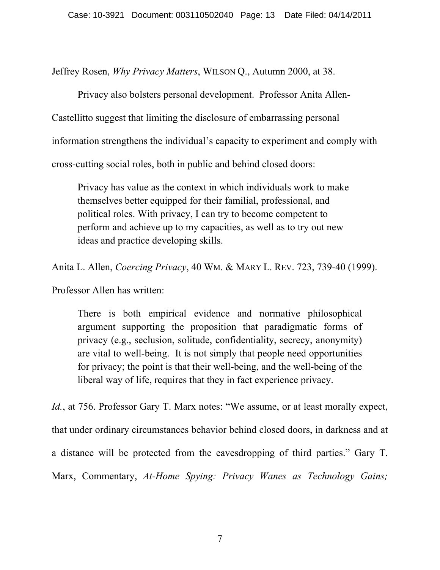Jeffrey Rosen, *Why Privacy Matters*, WILSON Q., Autumn 2000, at 38.

Privacy also bolsters personal development. Professor Anita Allen-Castellitto suggest that limiting the disclosure of embarrassing personal information strengthens the individual's capacity to experiment and comply with cross-cutting social roles, both in public and behind closed doors:

Privacy has value as the context in which individuals work to make themselves better equipped for their familial, professional, and political roles. With privacy, I can try to become competent to perform and achieve up to my capacities, as well as to try out new ideas and practice developing skills.

Anita L. Allen, *Coercing Privacy*, 40 WM. & MARY L. REV. 723, 739-40 (1999).

Professor Allen has written:

There is both empirical evidence and normative philosophical argument supporting the proposition that paradigmatic forms of privacy (e.g., seclusion, solitude, confidentiality, secrecy, anonymity) are vital to well-being. It is not simply that people need opportunities for privacy; the point is that their well-being, and the well-being of the liberal way of life, requires that they in fact experience privacy.

*Id.*, at 756. Professor Gary T. Marx notes: "We assume, or at least morally expect, that under ordinary circumstances behavior behind closed doors, in darkness and at a distance will be protected from the eavesdropping of third parties." Gary T. Marx, Commentary, *At-Home Spying: Privacy Wanes as Technology Gains;*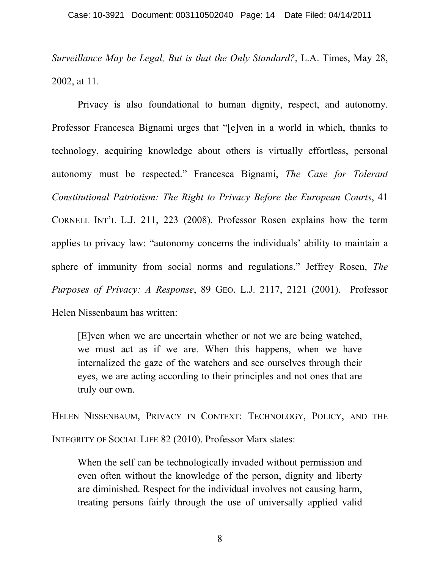*Surveillance May be Legal, But is that the Only Standard?*, L.A. Times, May 28, 2002, at 11.

Privacy is also foundational to human dignity, respect, and autonomy. Professor Francesca Bignami urges that "[e]ven in a world in which, thanks to technology, acquiring knowledge about others is virtually effortless, personal autonomy must be respected." Francesca Bignami, *The Case for Tolerant Constitutional Patriotism: The Right to Privacy Before the European Courts*, 41 CORNELL INT'L L.J. 211, 223 (2008). Professor Rosen explains how the term applies to privacy law: "autonomy concerns the individuals' ability to maintain a sphere of immunity from social norms and regulations." Jeffrey Rosen, *The Purposes of Privacy: A Response*, 89 GEO. L.J. 2117, 2121 (2001). Professor Helen Nissenbaum has written:

[E]ven when we are uncertain whether or not we are being watched, we must act as if we are. When this happens, when we have internalized the gaze of the watchers and see ourselves through their eyes, we are acting according to their principles and not ones that are truly our own.

HELEN NISSENBAUM, PRIVACY IN CONTEXT: TECHNOLOGY, POLICY, AND THE INTEGRITY OF SOCIAL LIFE 82 (2010). Professor Marx states:

When the self can be technologically invaded without permission and even often without the knowledge of the person, dignity and liberty are diminished. Respect for the individual involves not causing harm, treating persons fairly through the use of universally applied valid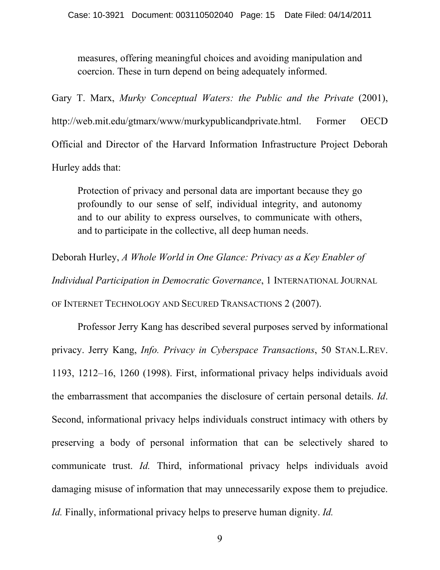measures, offering meaningful choices and avoiding manipulation and coercion. These in turn depend on being adequately informed.

Gary T. Marx, *Murky Conceptual Waters: the Public and the Private* (2001), http://web.mit.edu/gtmarx/www/murkypublicandprivate.html. Former OECD Official and Director of the Harvard Information Infrastructure Project Deborah Hurley adds that:

Protection of privacy and personal data are important because they go profoundly to our sense of self, individual integrity, and autonomy and to our ability to express ourselves, to communicate with others, and to participate in the collective, all deep human needs.

Deborah Hurley, *A Whole World in One Glance: Privacy as a Key Enabler of* 

*Individual Participation in Democratic Governance*, 1 INTERNATIONAL JOURNAL OF INTERNET TECHNOLOGY AND SECURED TRANSACTIONS 2 (2007).

Professor Jerry Kang has described several purposes served by informational privacy. Jerry Kang, *Info. Privacy in Cyberspace Transactions*, 50 STAN.L.REV. 1193, 1212–16, 1260 (1998). First, informational privacy helps individuals avoid the embarrassment that accompanies the disclosure of certain personal details. *Id*. Second, informational privacy helps individuals construct intimacy with others by preserving a body of personal information that can be selectively shared to communicate trust. *Id.* Third, informational privacy helps individuals avoid damaging misuse of information that may unnecessarily expose them to prejudice. *Id.* Finally, informational privacy helps to preserve human dignity. *Id.*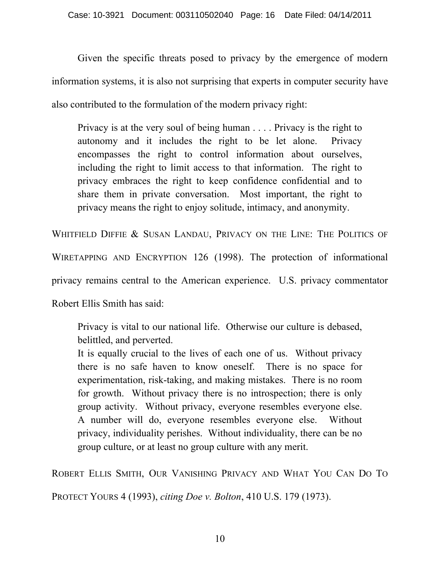Given the specific threats posed to privacy by the emergence of modern information systems, it is also not surprising that experts in computer security have also contributed to the formulation of the modern privacy right:

Privacy is at the very soul of being human . . . . Privacy is the right to autonomy and it includes the right to be let alone. Privacy encompasses the right to control information about ourselves, including the right to limit access to that information. The right to privacy embraces the right to keep confidence confidential and to share them in private conversation. Most important, the right to privacy means the right to enjoy solitude, intimacy, and anonymity.

WHITFIELD DIFFIE & SUSAN LANDAU, PRIVACY ON THE LINE: THE POLITICS OF WIRETAPPING AND ENCRYPTION 126 (1998). The protection of informational privacy remains central to the American experience. U.S. privacy commentator

Robert Ellis Smith has said:

Privacy is vital to our national life. Otherwise our culture is debased, belittled, and perverted.

It is equally crucial to the lives of each one of us. Without privacy there is no safe haven to know oneself. There is no space for experimentation, risk-taking, and making mistakes. There is no room for growth. Without privacy there is no introspection; there is only group activity. Without privacy, everyone resembles everyone else. A number will do, everyone resembles everyone else. Without privacy, individuality perishes. Without individuality, there can be no group culture, or at least no group culture with any merit.

ROBERT ELLIS SMITH, OUR VANISHING PRIVACY AND WHAT YOU CAN DO TO

PROTECT YOURS 4 (1993), *citing Doe v. Bolton*, 410 U.S. 179 (1973).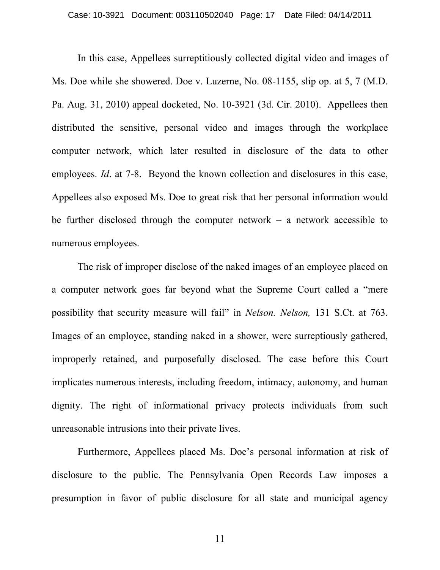In this case, Appellees surreptitiously collected digital video and images of Ms. Doe while she showered. Doe v. Luzerne, No. 08-1155, slip op. at 5, 7 (M.D. Pa. Aug. 31, 2010) appeal docketed, No. 10-3921 (3d. Cir. 2010). Appellees then distributed the sensitive, personal video and images through the workplace computer network, which later resulted in disclosure of the data to other employees. *Id.* at 7-8. Beyond the known collection and disclosures in this case, Appellees also exposed Ms. Doe to great risk that her personal information would be further disclosed through the computer network – a network accessible to numerous employees.

The risk of improper disclose of the naked images of an employee placed on a computer network goes far beyond what the Supreme Court called a "mere possibility that security measure will fail" in *Nelson. Nelson,* 131 S.Ct. at 763. Images of an employee, standing naked in a shower, were surreptiously gathered, improperly retained, and purposefully disclosed. The case before this Court implicates numerous interests, including freedom, intimacy, autonomy, and human dignity. The right of informational privacy protects individuals from such unreasonable intrusions into their private lives.

Furthermore, Appellees placed Ms. Doe's personal information at risk of disclosure to the public. The Pennsylvania Open Records Law imposes a presumption in favor of public disclosure for all state and municipal agency

11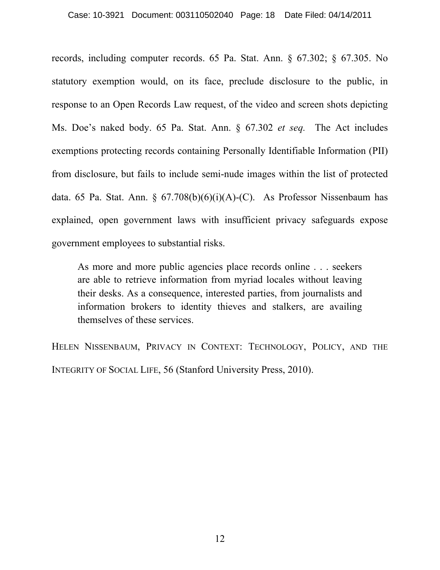#### Case: 10-3921 Document: 003110502040 Page: 18 Date Filed: 04/14/2011

records, including computer records. 65 Pa. Stat. Ann. § 67.302; § 67.305. No statutory exemption would, on its face, preclude disclosure to the public, in response to an Open Records Law request, of the video and screen shots depicting Ms. Doe's naked body. 65 Pa. Stat. Ann. § 67.302 *et seq.* The Act includes exemptions protecting records containing Personally Identifiable Information (PII) from disclosure, but fails to include semi-nude images within the list of protected data. 65 Pa. Stat. Ann. §  $67.708(b)(6)(i)(A)-(C)$ . As Professor Nissenbaum has explained, open government laws with insufficient privacy safeguards expose government employees to substantial risks.

As more and more public agencies place records online . . . seekers are able to retrieve information from myriad locales without leaving their desks. As a consequence, interested parties, from journalists and information brokers to identity thieves and stalkers, are availing themselves of these services.

HELEN NISSENBAUM, PRIVACY IN CONTEXT: TECHNOLOGY, POLICY, AND THE INTEGRITY OF SOCIAL LIFE, 56 (Stanford University Press, 2010).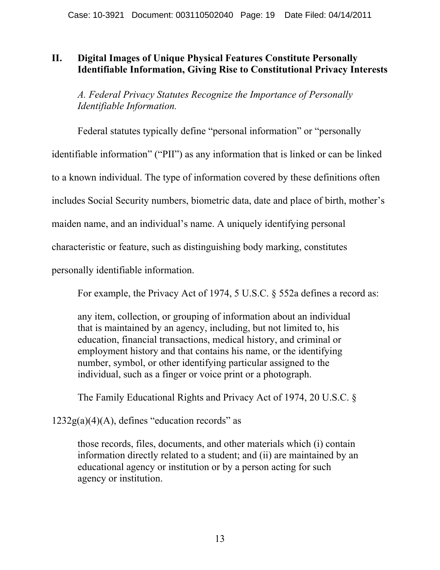## **II. Digital Images of Unique Physical Features Constitute Personally Identifiable Information, Giving Rise to Constitutional Privacy Interests**

*A. Federal Privacy Statutes Recognize the Importance of Personally Identifiable Information.*

Federal statutes typically define "personal information" or "personally identifiable information" ("PII") as any information that is linked or can be linked to a known individual. The type of information covered by these definitions often includes Social Security numbers, biometric data, date and place of birth, mother's maiden name, and an individual's name. A uniquely identifying personal characteristic or feature, such as distinguishing body marking, constitutes personally identifiable information.

For example, the Privacy Act of 1974, 5 U.S.C. § 552a defines a record as:

any item, collection, or grouping of information about an individual that is maintained by an agency, including, but not limited to, his education, financial transactions, medical history, and criminal or employment history and that contains his name, or the identifying number, symbol, or other identifying particular assigned to the individual, such as a finger or voice print or a photograph.

The Family Educational Rights and Privacy Act of 1974, 20 U.S.C. §

 $1232g(a)(4)(A)$ , defines "education records" as

those records, files, documents, and other materials which (i) contain information directly related to a student; and (ii) are maintained by an educational agency or institution or by a person acting for such agency or institution.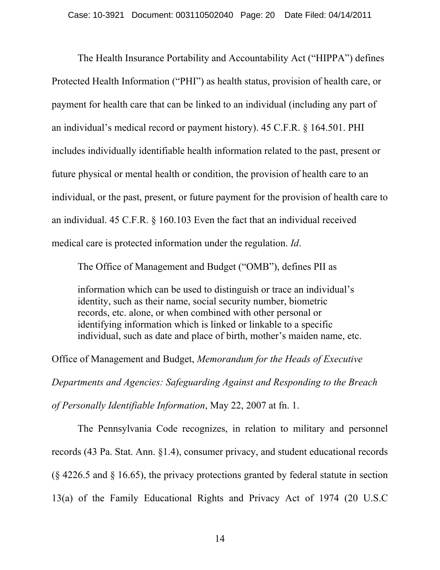The Health Insurance Portability and Accountability Act ("HIPPA") defines Protected Health Information ("PHI") as health status, provision of health care, or payment for health care that can be linked to an individual (including any part of an individual's medical record or payment history). 45 C.F.R. § 164.501. PHI includes individually identifiable health information related to the past, present or future physical or mental health or condition, the provision of health care to an individual, or the past, present, or future payment for the provision of health care to an individual. 45 C.F.R. § 160.103 Even the fact that an individual received medical care is protected information under the regulation. *Id*.

The Office of Management and Budget ("OMB"), defines PII as

information which can be used to distinguish or trace an individual's identity, such as their name, social security number, biometric records, etc. alone, or when combined with other personal or identifying information which is linked or linkable to a specific individual, such as date and place of birth, mother's maiden name, etc.

Office of Management and Budget, *Memorandum for the Heads of Executive Departments and Agencies: Safeguarding Against and Responding to the Breach of Personally Identifiable Information*, May 22, 2007 at fn. 1.

The Pennsylvania Code recognizes, in relation to military and personnel records (43 Pa. Stat. Ann. §1.4), consumer privacy, and student educational records (§ 4226.5 and § 16.65), the privacy protections granted by federal statute in section 13(a) of the Family Educational Rights and Privacy Act of 1974 (20 U.S.C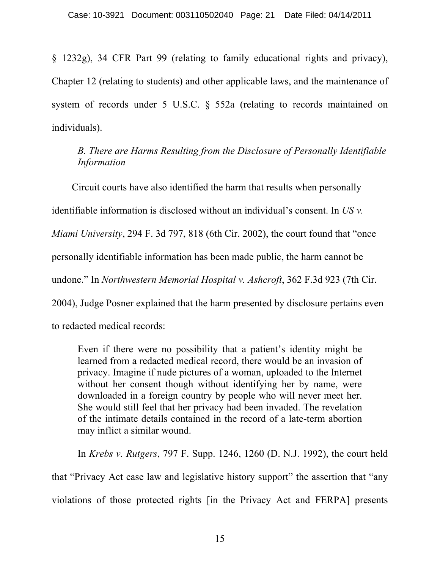§ 1232g), 34 CFR Part 99 (relating to family educational rights and privacy), Chapter 12 (relating to students) and other applicable laws, and the maintenance of system of records under 5 U.S.C. § 552a (relating to records maintained on individuals).

*B. There are Harms Resulting from the Disclosure of Personally Identifiable Information*

Circuit courts have also identified the harm that results when personally identifiable information is disclosed without an individual's consent. In *US v. Miami University*, 294 F. 3d 797, 818 (6th Cir. 2002), the court found that "once personally identifiable information has been made public, the harm cannot be undone." In *Northwestern Memorial Hospital v. Ashcroft*, 362 F.3d 923 (7th Cir. 2004), Judge Posner explained that the harm presented by disclosure pertains even to redacted medical records:

Even if there were no possibility that a patient's identity might be learned from a redacted medical record, there would be an invasion of privacy. Imagine if nude pictures of a woman, uploaded to the Internet without her consent though without identifying her by name, were downloaded in a foreign country by people who will never meet her. She would still feel that her privacy had been invaded. The revelation of the intimate details contained in the record of a late-term abortion may inflict a similar wound.

In *Krebs v. Rutgers*, 797 F. Supp. 1246, 1260 (D. N.J. 1992), the court held that "Privacy Act case law and legislative history support" the assertion that "any violations of those protected rights [in the Privacy Act and FERPA] presents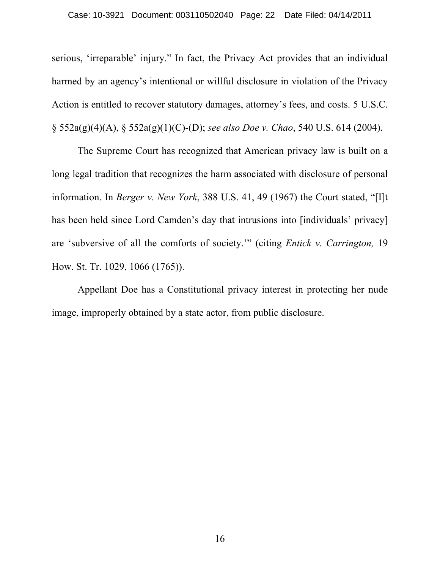serious, 'irreparable' injury." In fact, the Privacy Act provides that an individual harmed by an agency's intentional or willful disclosure in violation of the Privacy Action is entitled to recover statutory damages, attorney's fees, and costs. 5 U.S.C. § 552a(g)(4)(A), § 552a(g)(1)(C)-(D); *see also Doe v. Chao*, 540 U.S. 614 (2004).

The Supreme Court has recognized that American privacy law is built on a long legal tradition that recognizes the harm associated with disclosure of personal information. In *Berger v. New York*, 388 U.S. 41, 49 (1967) the Court stated, "[I]t has been held since Lord Camden's day that intrusions into [individuals' privacy] are 'subversive of all the comforts of society.'" (citing *Entick v. Carrington,* 19 How. St. Tr. 1029, 1066 (1765)).

Appellant Doe has a Constitutional privacy interest in protecting her nude image, improperly obtained by a state actor, from public disclosure.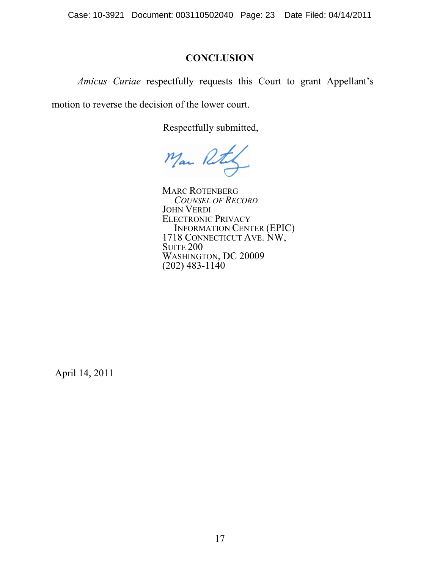Case: 10-3921 Document: 003110502040 Page: 23 Date Filed: 04/14/2011

## **CONCLUSION**

*Amicus Curiae* respectfully requests this Court to grant Appellant's

motion to reverse the decision of the lower court.

Respectfully submitted,

Mar Rt

MARC ROTENBERG *COUNSEL OF RECORD* JOHN VERDI ELECTRONIC PRIVACY INFORMATION CENTER (EPIC) 1718 CONNECTICUT AVE. NW, **SUITE 200** WASHINGTON, DC 20009  $(202)$  483-1140

April 14, 2011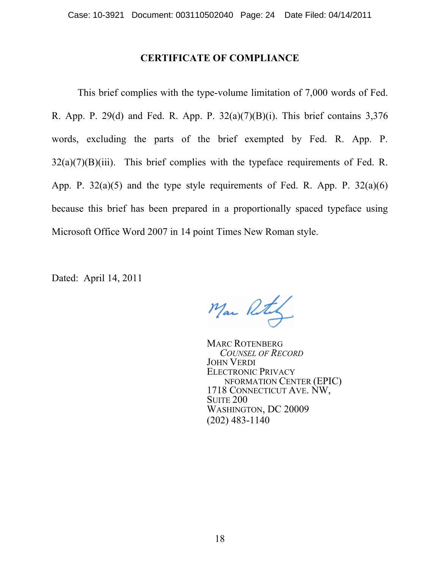### **CERTIFICATE OF COMPLIANCE**

This brief complies with the type-volume limitation of 7,000 words of Fed. R. App. P. 29(d) and Fed. R. App. P. 32(a)(7)(B)(i). This brief contains 3,376 words, excluding the parts of the brief exempted by Fed. R. App. P.  $32(a)(7)(B)(iii)$ . This brief complies with the typeface requirements of Fed. R. App. P.  $32(a)(5)$  and the type style requirements of Fed. R. App. P.  $32(a)(6)$ because this brief has been prepared in a proportionally spaced typeface using Microsoft Office Word 2007 in 14 point Times New Roman style.

Man Rty

MARC ROTENBERG *COUNSEL OF RECORD* JOHN VERDI ELECTRONIC PRIVACY NFORMATION CENTER (EPIC) 1718 CONNECTICUT AVE. NW, **SUITE 200** WASHINGTON, DC 20009 (202) 483-1140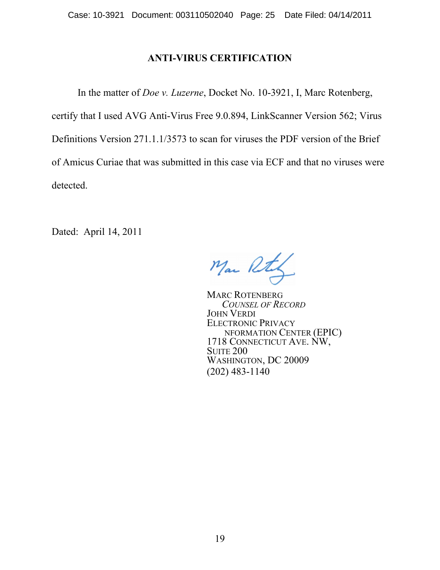### **ANTI-VIRUS CERTIFICATION**

In the matter of *Doe v. Luzerne*, Docket No. 10-3921, I, Marc Rotenberg, certify that I used AVG Anti-Virus Free 9.0.894, LinkScanner Version 562; Virus Definitions Version 271.1.1/3573 to scan for viruses the PDF version of the Brief of Amicus Curiae that was submitted in this case via ECF and that no viruses were detected.

Mar Rts

MARC ROTENBERG *COUNSEL OF RECORD* JOHN VERDI ELECTRONIC PRIVACY NFORMATION CENTER (EPIC) 1718 CONNECTICUT AVE. NW, **SUITE 200** WASHINGTON, DC 20009 (202) 483-1140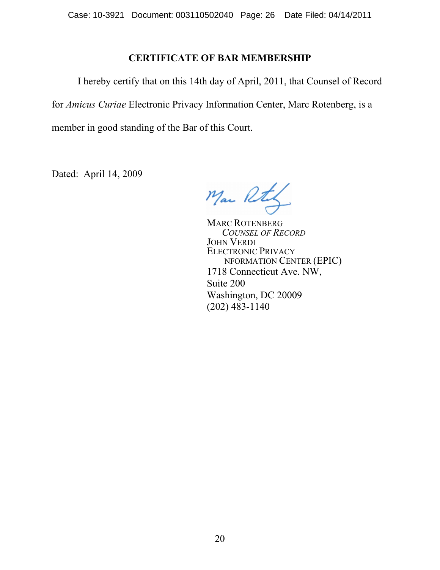### **CERTIFICATE OF BAR MEMBERSHIP**

I hereby certify that on this 14th day of April, 2011, that Counsel of Record for *Amicus Curiae* Electronic Privacy Information Center, Marc Rotenberg, is a member in good standing of the Bar of this Court.

Mar Rt

MARC ROTENBERG *COUNSEL OF RECORD* JOHN VERDI ELECTRONIC PRIVACY NFORMATION CENTER (EPIC) 1718 Connecticut Ave. NW, Suite 200 Washington, DC 20009 (202) 483-1140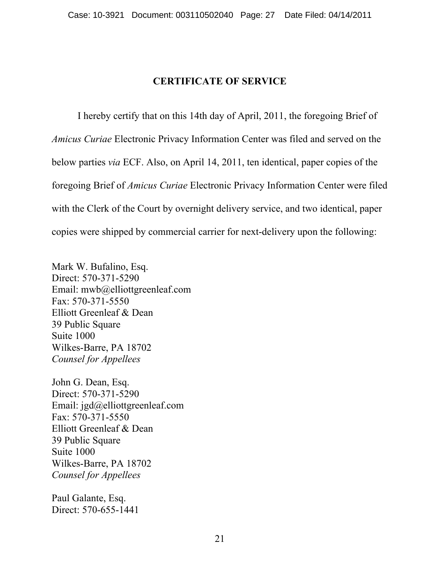## **CERTIFICATE OF SERVICE**

I hereby certify that on this 14th day of April, 2011, the foregoing Brief of *Amicus Curiae* Electronic Privacy Information Center was filed and served on the below parties *via* ECF. Also, on April 14, 2011, ten identical, paper copies of the foregoing Brief of *Amicus Curiae* Electronic Privacy Information Center were filed with the Clerk of the Court by overnight delivery service, and two identical, paper copies were shipped by commercial carrier for next-delivery upon the following:

Mark W. Bufalino, Esq. Direct: 570-371-5290 Email: mwb@elliottgreenleaf.com Fax: 570-371-5550 Elliott Greenleaf & Dean 39 Public Square Suite 1000 Wilkes-Barre, PA 18702 *Counsel for Appellees* 

John G. Dean, Esq. Direct: 570-371-5290 Email: jgd@elliottgreenleaf.com Fax: 570-371-5550 Elliott Greenleaf & Dean 39 Public Square Suite 1000 Wilkes-Barre, PA 18702 *Counsel for Appellees* 

Paul Galante, Esq. Direct: 570-655-1441